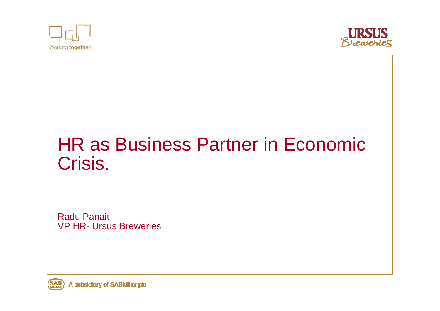



# HR as Business Partner in Economic Crisis.

Radu Panait VP HR- Ursus Breweries

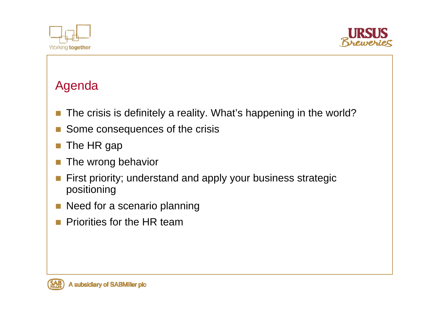



## Agenda

- $\overline{\phantom{a}}$ The crisis is definitely a reality. What's happening in the world?
- $\overline{\phantom{a}}$ Some consequences of the crisis
- $\mathcal{C}^{\mathcal{A}}$ The HR gap
- $\mathbb{R}^n$ The wrong behavior
- $\mathcal{O}(\mathcal{C})$  First priority; understand and apply your business strategic positioning
- $\mathbb{R}^3$ Need for a scenario planning
- $\mathcal{C}^{\mathcal{A}}$ Priorities for the HR team

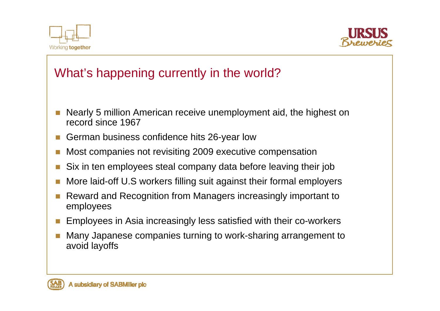



# What's happening currently in the world?

- F Nearly 5 million American receive unemployment aid, the highest on record since 1967
- П German business confidence hits 26-year low
- p. Most companies not revisiting 2009 executive compensation
- П Six in ten employees steal company data before leaving their job
- П More laid-off U.S workers filling suit against their formal employers
- F. Reward and Recognition from Managers increasingly important to employees
- Г Employees in Asia increasingly less satisfied with their co-workers
- П Many Japanese companies turning to work-sharing arrangement to avoid layoffs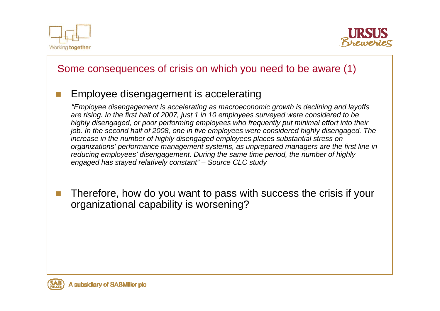



#### Some consequences of crisis on which you need to be aware (1)

#### Employee disengagement is accelerating

*"Employee disengagement is accelerating as macroeconomic growth is declining and layoffs are rising. In the first half of 2007, just 1 in 10 employees surveyed were considered to be highly disengaged, or poor performing employees who frequently put minimal effort into their job. In the second half of 2008, one in five employees were considered highly disengaged. The increase in the number of highly disengaged employees places substantial stress on organizations' performance management systems, as unprepared managers are the first line in reducing employees' disengagement. During the same time period, the number of highly engaged has stayed relatively constant" – Source CLC study*

T. Therefore, how do you want to pass with success the crisis if your organizational capability is worsening?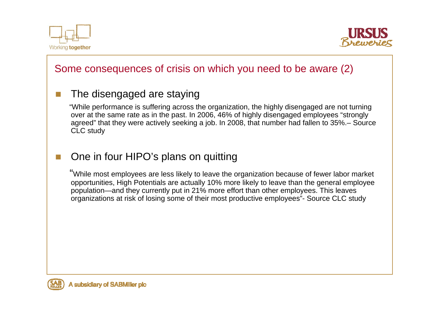

T.



#### Some consequences of crisis on which you need to be aware (2)

#### The disengaged are staying

"While performance is suffering across the organization, the highly disengaged are not turning over at the same rate as in the past. In 2006, 46% of highly disengaged employees "strongly agreed" that they were actively seeking a job. In 2008, that number had fallen to 35%.– Source CLC study

#### T. One in four HIPO's plans on quitting

"While most employees are less likely to leave the organization because of fewer labor market opportunities, High Potentials are actually 10% more likely to leave than the general employee population—and they currently put in 21% more effort than other employees. This leaves organizations at risk of losing some of their most productive employees"- Source CLC study

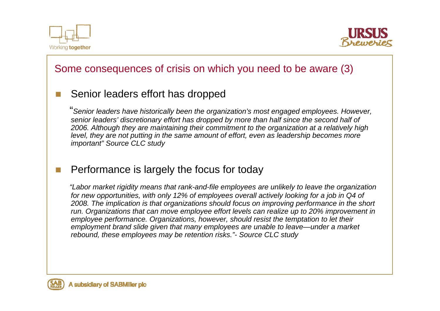



#### Some consequences of crisis on which you need to be aware (3)

#### T. Senior leaders effort has dropped

"*Senior leaders have historically been the organization's most engaged employees. However, senior leaders' discretionary effort has dropped by more than half since the second half of 2006. Although they are maintaining their commitment to the organization at a relatively high level, they are not putting in the same amount of effort, even as leadership becomes more important" Source CLC study*

#### $\mathcal{C}^{\mathcal{A}}$ Performance is largely the focus for today

*"Labor market rigidity means that rank-and-file employees are unlikely to leave the organization for new opportunities, with only 12% of employees overall actively looking for a job in Q4 of 2008. The implication is that organizations should focus on improving performance in the short run. Organizations that can move employee effort levels can realize up to 20% improvement in employee performance. Organizations, however, should resist the temptation to let their employment brand slide given that many employees are unable to leave—under a market rebound, these employees may be retention risks."- Source CLC study*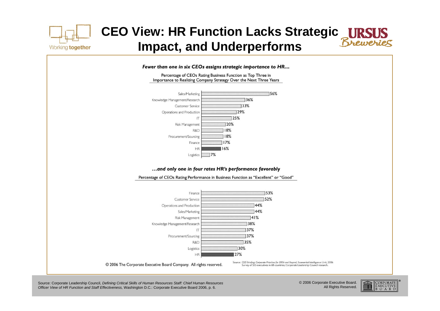

# **CEO View: HR Function Lacks Strategic Impact, and Underperforms**



Source: Corporate Leadership Council, *Defining Critical Skills of Human Resources Staff: Chief Human Resources Officer View of HR Function and Staff Effectiveness,* Washington D.C.: Corporate Executive Board 2006, p. 6.

© 2006 Corporate Executive Board. All Rights Reserved.

 $\left\| \begin{matrix} \overline{E} \overline{X} \overline{E} \overline{C} \overline{U} \overline{T} \overline{I} \overline{V} \overline{E} \\ \overline{B} \cdot \overline{O} \cdot A \cdot R \cdot \overline{D} \end{matrix} \right\|$ 

<u>illillill</u>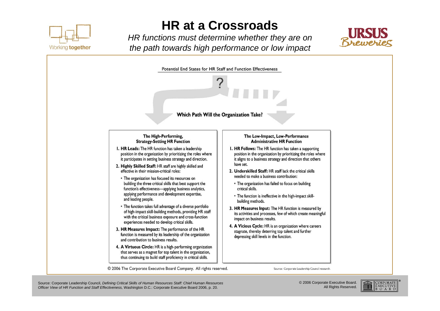

# **HR at a Crossroads**

*HR functions must determine whether they are on the path towards high performance or low impact*





Source: Corporate Leadership Council, *Defining Critical Skills of Human Resources Staff: Chief Human Resources Officer View of HR Function and Staff Effectiveness,* Washington D.C.: Corporate Executive Board 2006, p. 20.

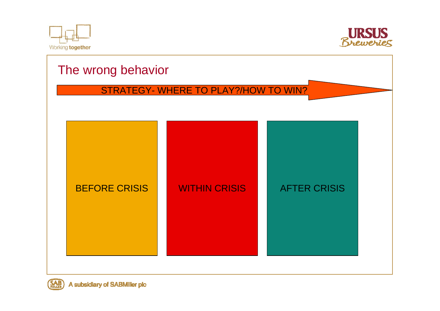





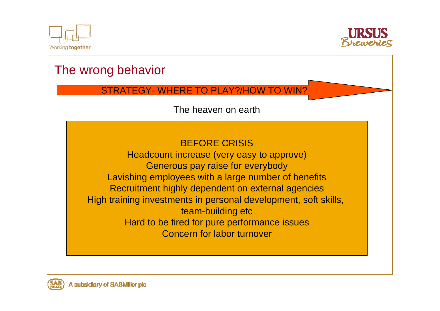



# The wrong behavior STRATEGY- WHERE TO PLAY?/HOW TO WIN? BEFORE CRISISHeadcount increase (very easy to approve) Generous pay raise for everybody Lavishing employees with a large number of benefits Recruitment highly dependent on external agencies High training investments in personal development, soft skills, team-building etc Hard to be fired for pure performance issues Concern for labor turnoverThe heaven on earth

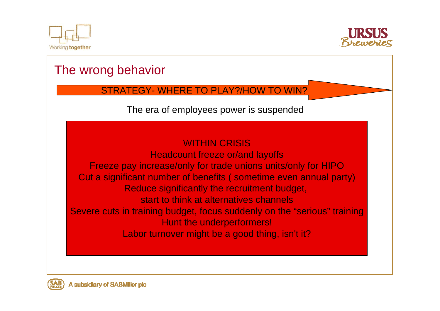



## The wrong behavior

STRATEGY- WHERE TO PLAY?/HOW TO WIN?

The era of employees power is suspended

#### WITHIN CRISIS**Headcount freeze or/and layoffs** Freeze pay increase/only for trade unions units/only for HIPO Cut a significant number of benefits ( sometime even annual party) Reduce significantly the recruitment budget, start to think at alternatives channelsSevere cuts in training budget, focus suddenly on the "serious" training Hunt the underperformers! Labor turnover might be a good thing, isn't it?

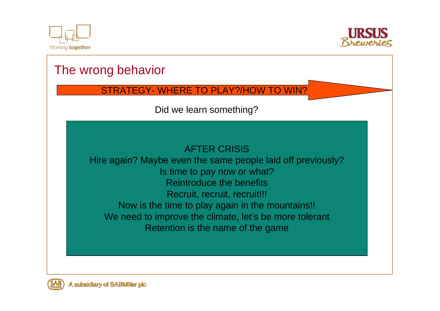



# The wrong behavior STRATEGY- WHERE TO PLAY?/HOW TO WIN? AFTER CRISISHire again? Maybe even the same people laid off previously? Is time to pay now or what? Reintroduce the benefits Recruit, recruit, recruit!!! Now is the time to play again in the mountains!! We need to improve the climate, let's be more tolerant Retention is the name of the game Did we learn something?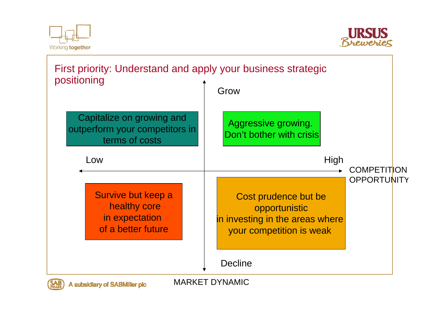



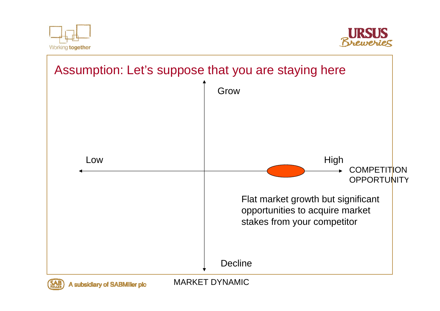



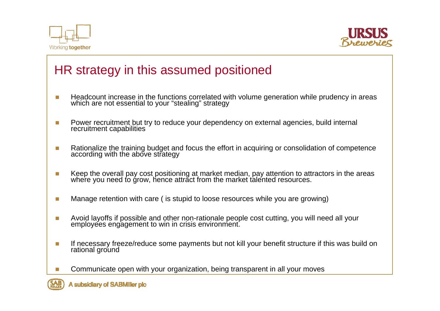



## HR strategy in this assumed positioned

- $\overline{\phantom{a}}$ Headcount increase in the functions correlated with volume generation while prudency in areas which are not essential to your "stealing" strategy
- $\overline{\phantom{a}}$ Power recruitment but try to reduce your dependency on external agencies, build internal recruitment capabilities
- m. Rationalize the training budget and focus the effort in acquiring or consolidation of competence according with the above strategy
- m. Keep the overall pay cost positioning at market median, pay attention to attractors in the areas where you need to grow, hence attract from the market talented resources.
- m. Manage retention with care ( is stupid to loose resources while you are growing)
- T. Avoid layoffs if possible and other non-rationale people cost cutting, you will need all your employees engagement to win in crisis environment.
- T If necessary freeze/reduce some payments but not kill your benefit structure if this was build on rational ground
- T. Communicate open with your organization, being transparent in all your moves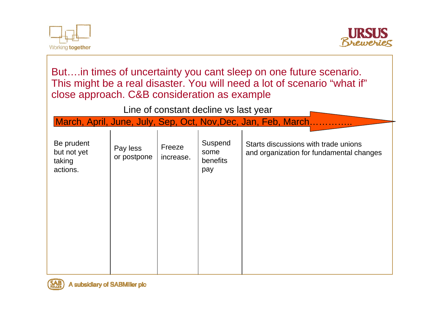



But….in times of uncertainty you cant sleep on one future scenario. This might be a real disaster. You will need a lot of scenario "what if" close approach. C&B consideration as example March, April, June, July, Sep, Oct, Nov, Dec, Jan, Feb, March... Line of constant decline vs last year Be prudent but not yet taking actions. Pay less or postpone Freeze increase. Suspend some benefits pay Starts discussions with trade unionsand organization for fundamental changes

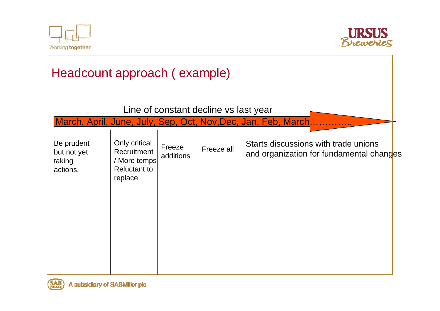



| Headcount approach (example)                    |                                                                                |                     |            |                                                                |                                                                                  |  |
|-------------------------------------------------|--------------------------------------------------------------------------------|---------------------|------------|----------------------------------------------------------------|----------------------------------------------------------------------------------|--|
| Line of constant decline vs last year           |                                                                                |                     |            |                                                                |                                                                                  |  |
|                                                 |                                                                                |                     |            | March, April, June, July, Sep, Oct, Nov, Dec, Jan, Feb, March. |                                                                                  |  |
| Be prudent<br>but not yet<br>taking<br>actions. | Only critical<br>Recruitment<br>/ More temps<br><b>Reluctant to</b><br>replace | Freeze<br>additions | Freeze all |                                                                | Starts discussions with trade unions<br>and organization for fundamental changes |  |

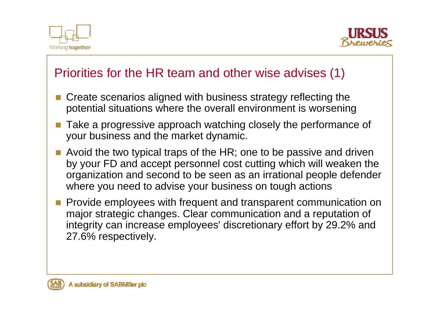



### Priorities for the HR team and other wise advises (1)

- Create scenarios aligned with business strategy reflecting the potential situations where the overall environment is worsening
- Take a progressive approach watching closely the performance of your business and the market dynamic.
- **Avoid the two typical traps of the HR; one to be passive and driven** by your FD and accept personnel cost cutting which will weaken the organization and second to be seen as an irrational people defender where you need to advise your business on tough actions
- $\mathcal{L}_{\mathcal{A}}$  Provide employees with frequent and transparent communication on major strategic changes. Clear communication and a reputation of integrity can increase employees' discretionary effort by 29.2% and 27.6% respectively.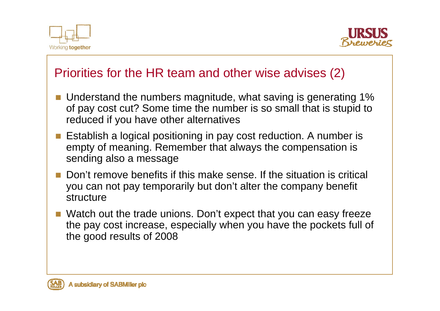



### Priorities for the HR team and other wise advises (2)

- Understand the numbers magnitude, what saving is generating 1% of pay cost cut? Some time the number is so small that is stupid to reduced if you have other alternatives
- Establish a logical positioning in pay cost reduction. A number is empty of meaning. Remember that always the compensation is sending also a message
- **Don't remove benefits if this make sense. If the situation is critical** you can not pay temporarily but don't alter the company benefit structure
- Watch out the trade unions. Don't expect that you can easy freeze the pay cost increase, especially when you have the pockets full of the good results of 2008

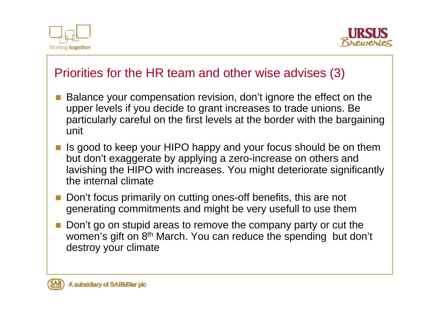



### Priorities for the HR team and other wise advises (3)

- Balance your compensation revision, don't ignore the effect on the upper levels if you decide to grant increases to trade unions. Be particularly careful on the first levels at the border with the bargaining unit
- Is good to keep your HIPO happy and your focus should be on them but don't exaggerate by applying a zero-increase on others and lavishing the HIPO with increases. You might deteriorate significantly the internal climate
- Don't focus primarily on cutting ones-off benefits, this are not generating commitments and might be very usefull to use them
- m. Don't go on stupid areas to remove the company party or cut the women's gift on 8<sup>th</sup> March. You can reduce the spending but don't destroy your climate

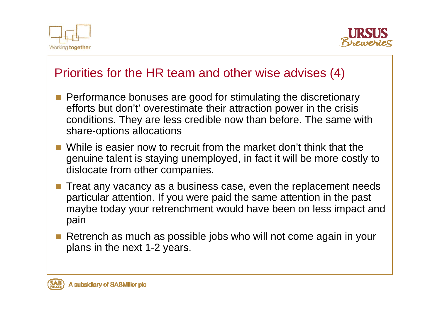



### Priorities for the HR team and other wise advises (4)

- **Performance bonuses are good for stimulating the discretionary** efforts but don't' overestimate their attraction power in the crisis conditions. They are less credible now than before. The same with share-options allocations
- While is easier now to recruit from the market don't think that the genuine talent is staying unemployed, in fact it will be more costly to dislocate from other companies.
- $\mathbb{R}^3$  Treat any vacancy as a business case, even the replacement needs particular attention. If you were paid the same attention in the past maybe today your retrenchment would have been on less impact and pain
- m. Retrench as much as possible jobs who will not come again in your plans in the next 1-2 years.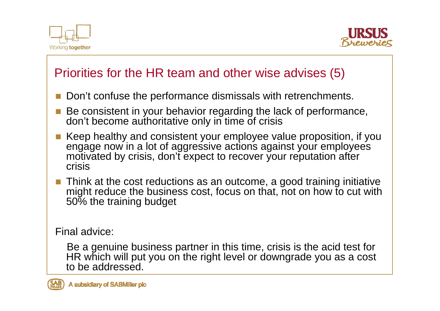



## Priorities for the HR team and other wise advises (5)

- P. Don't confuse the performance dismissals with retrenchments.
- Be consistent in your behavior regarding the lack of performance, don't become authoritative only in time of crisis
- Keep healthy and consistent your employee value proposition, if you engage now in a lot of aggressive actions against your employees motivated by crisis, don't expect to recover your reputation after crisis
- Think at the cost reductions as an outcome, a good training initiative might reduce the business cost, focus on that, not on how to cut with 50% the training budget

Final advice:

Be a genuine business partner in this time, crisis is the acid test for HR which will put you on the right level or downgrade you as a cost to be addressed.